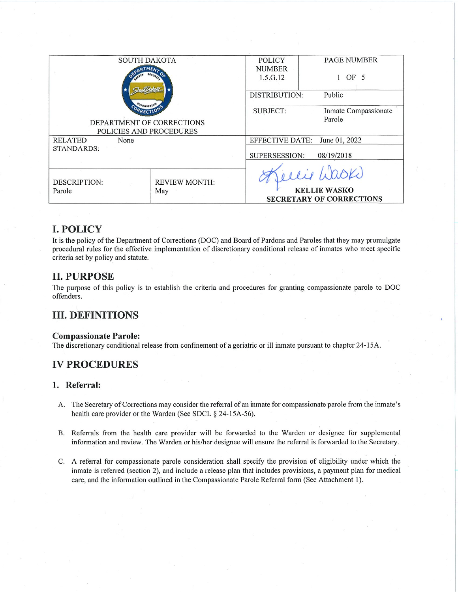| <b>SOUTH DAKOTA</b>       |                      | <b>POLICY</b>        | <b>PAGE NUMBER</b>                      |  |
|---------------------------|----------------------|----------------------|-----------------------------------------|--|
|                           |                      | <b>NUMBER</b>        |                                         |  |
|                           |                      | 1.5.G.12             | OF <sub>5</sub>                         |  |
|                           |                      |                      |                                         |  |
|                           |                      | <b>DISTRIBUTION:</b> | Public                                  |  |
|                           |                      |                      |                                         |  |
|                           |                      | SUBJECT:             | Inmate Compassionate                    |  |
| DEPARTMENT OF CORRECTIONS |                      |                      | Parole                                  |  |
|                           |                      |                      |                                         |  |
| POLICIES AND PROCEDURES   |                      |                      |                                         |  |
| <b>RELATED</b><br>None    |                      |                      | <b>EFFECTIVE DATE:</b><br>June 01, 2022 |  |
| <b>STANDARDS:</b>         |                      |                      |                                         |  |
|                           |                      |                      | SUPERSESSION:<br>08/19/2018             |  |
|                           |                      |                      |                                         |  |
|                           |                      |                      | elie Laski                              |  |
| DESCRIPTION:              | <b>REVIEW MONTH:</b> |                      |                                         |  |
| Parole                    | May                  |                      | <b>KELLIE WASKO</b>                     |  |
|                           |                      |                      | <b>SECRETARY OF CORRECTIONS</b>         |  |
|                           |                      |                      |                                         |  |

# **I. POLICY**

It is the policy of the Department of Corrections (DOC) and Board of Pardons and Paroles that they may promulgate procedural rules for the effective implementation of discretionary conditional release of inmates who meet specific criteria set by policy and statute.

### **II. PURPOSE**

The purpose of this policy is to establish the criteria and procedures for granting compassionate parole to DOC offenders.

## **III. DEFINITIONS**

#### **Compassionate Parole:**

The discretionary conditional release from confinement of a geriatric or ill inmate pursuant to chapter 24-15A.

## **IV PROCEDURES**

#### 1. Referral:

- A. The Secretary of Corrections may consider the referral of an inmate for compassionate parole from the inmate's health care provider or the Warden (See SDCL § 24-15A-56).
- B. Referrals from the health care provider will be forwarded to the Warden or designee for supplemental information and review. The Warden or his/her designee will ensure the referral is forwarded to the Secretary.
- C. A referral for compassionate parole consideration shall specify the provision of eligibility under which the inmate is referred (section 2), and include a release plan that includes provisions, a payment plan for medical care, and the information outlined in the Compassionate Parole Referral form (See Attachment 1).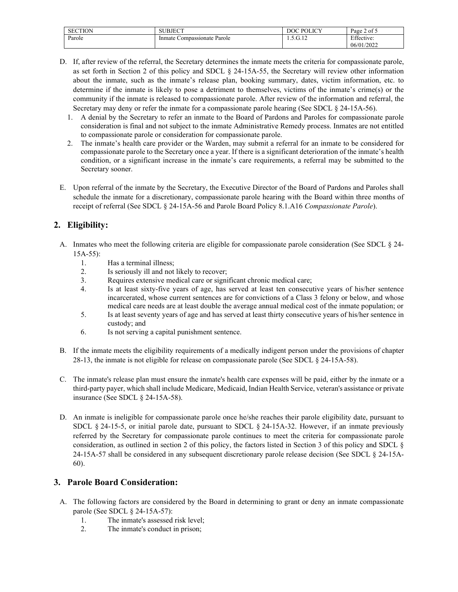| <b>SECTION</b> | ''BJECT                           | $\cup$ POLICV<br>DOC  | $\sim$ $\sim$<br>of 5<br>Page |
|----------------|-----------------------------------|-----------------------|-------------------------------|
| Parole         | Parole<br>Compassionate<br>Inmate | $\cap$ 10<br>1.9.G.IZ | $\mathbf{r}$<br>ttective:     |
|                |                                   |                       | 06/01/2022                    |

- D. If, after review of the referral, the Secretary determines the inmate meets the criteria for compassionate parole, as set forth in Section 2 of this policy and SDCL § 24-15A-55, the Secretary will review other information about the inmate, such as the inmate's release plan, booking summary, dates, victim information, etc. to determine if the inmate is likely to pose a detriment to themselves, victims of the inmate's crime(s) or the community if the inmate is released to compassionate parole. After review of the information and referral, the Secretary may deny or refer the inmate for a compassionate parole hearing (See SDCL § 24-15A-56).
	- 1. A denial by the Secretary to refer an inmate to the Board of Pardons and Paroles for compassionate parole consideration is final and not subject to the inmate Administrative Remedy process. Inmates are not entitled to compassionate parole or consideration for compassionate parole.
	- 2. The inmate's health care provider or the Warden, may submit a referral for an inmate to be considered for compassionate parole to the Secretary once a year. If there is a significant deterioration of the inmate's health condition, or a significant increase in the inmate's care requirements, a referral may be submitted to the Secretary sooner.
- E. Upon referral of the inmate by the Secretary, the Executive Director of the Board of Pardons and Paroles shall schedule the inmate for a discretionary, compassionate parole hearing with the Board within three months of receipt of referral (See SDCL § 24-15A-56 and Parole Board Policy 8.1.A16 *Compassionate Parole*).

### **2. Eligibility:**

- A. Inmates who meet the following criteria are eligible for compassionate parole consideration (See SDCL § 24- 15A-55):
	- 1. Has a terminal illness;
	- 2. Is seriously ill and not likely to recover;
	- 3. Requires extensive medical care or significant chronic medical care;
	- 4. Is at least sixty-five years of age, has served at least ten consecutive years of his/her sentence incarcerated, whose current sentences are for convictions of a Class 3 felony or below, and whose medical care needs are at least double the average annual medical cost of the inmate population; or
	- 5. Is at least seventy years of age and has served at least thirty consecutive years of his/her sentence in custody; and
	- 6. Is not serving a capital punishment sentence.
- B. If the inmate meets the eligibility requirements of a medically indigent person under the provisions of chapter 28-13, the inmate is not eligible for release on compassionate parole (See SDCL § 24-15A-58).
- C. The inmate's release plan must ensure the inmate's health care expenses will be paid, either by the inmate or a third-party payer, which shall include Medicare, Medicaid, Indian Health Service, veteran's assistance or private insurance (See SDCL § 24-15A-58).
- D. An inmate is ineligible for compassionate parole once he/she reaches their parole eligibility date, pursuant to SDCL § 24-15-5, or initial parole date, pursuant to SDCL § 24-15A-32. However, if an inmate previously referred by the Secretary for compassionate parole continues to meet the criteria for compassionate parole consideration, as outlined in section 2 of this policy, the factors listed in Section 3 of this policy and SDCL § 24-15A-57 shall be considered in any subsequent discretionary parole release decision (See SDCL § 24-15A-60).

#### **3. Parole Board Consideration:**

- A. The following factors are considered by the Board in determining to grant or deny an inmate compassionate parole (See SDCL § 24-15A-57):
	- 1. The inmate's assessed risk level;
	- 2. The inmate's conduct in prison;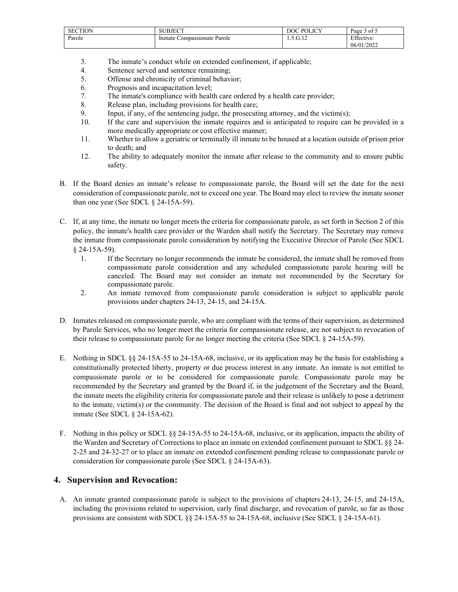| <b>SECTION</b> | UBJECT               | <b>POLICY</b><br>DOC | $\sim$ $\sim$<br>Page<br>ot :<br>◡ |
|----------------|----------------------|----------------------|------------------------------------|
| Parole         | Compassionate Parole | $\bigcap$ 10         | Effective:                         |
|                | Inmate               | . <i>. .</i>         | 06/01/2022                         |

- 3. The inmate's conduct while on extended confinement, if applicable;
- 4. Sentence served and sentence remaining;
- 5. Offense and chronicity of criminal behavior;
- 6. Prognosis and incapacitation level;
- 7. The inmate's compliance with health care ordered by a health care provider;
- 8. Release plan, including provisions for health care;
- 9. Input, if any, of the sentencing judge, the prosecuting attorney, and the victim(s);
- 10. If the care and supervision the inmate requires and is anticipated to require can be provided in a more medically appropriate or cost effective manner;
- 11. Whether to allow a geriatric or terminally ill inmate to be housed at a location outside of prison prior to death; and
- 12. The ability to adequately monitor the inmate after release to the community and to ensure public safety.
- B. If the Board denies an inmate's release to compassionate parole, the Board will set the date for the next consideration of compassionate parole, not to exceed one year. The Board may elect to review the inmate sooner than one year (See SDCL § 24-15A-59).
- C. If, at any time, the inmate no longer meets the criteria for compassionate parole, as set forth in Section 2 of this policy, the inmate's health care provider or the Warden shall notify the Secretary. The Secretary may remove the inmate from compassionate parole consideration by notifying the Executive Director of Parole (See SDCL § 24-15A-59).
	- 1. If the Secretary no longer recommends the inmate be considered, the inmate shall be removed from compassionate parole consideration and any scheduled compassionate parole hearing will be canceled. The Board may not consider an inmate not recommended by the Secretary for compassionate parole.
	- 2. An inmate removed from compassionate parole consideration is subject to applicable parole provisions under chapters 24-13, 24-15, and 24-15A.
- D. Inmates released on compassionate parole, who are compliant with the terms of their supervision, as determined by Parole Services, who no longer meet the criteria for compassionate release, are not subject to revocation of their release to compassionate parole for no longer meeting the criteria (See SDCL § 24-15A-59).
- E. Nothing in SDCL §§ 24-15A-55 to 24-15A-68, inclusive, or its application may be the basis for establishing a constitutionally protected liberty, property or due process interest in any inmate. An inmate is not entitled to compassionate parole or to be considered for compassionate parole. Compassionate parole may be recommended by the Secretary and granted by the Board if, in the judgement of the Secretary and the Board, the inmate meets the eligibility criteria for compassionate parole and their release is unlikely to pose a detriment to the inmate, victim(s) or the community. The decision of the Board is final and not subject to appeal by the inmate (See SDCL § 24-15A-62).
- F. Nothing in this policy or SDCL §§ 24-15A-55 to 24-15A-68, inclusive, or its application, impacts the ability of the Warden and Secretary of Corrections to place an inmate on extended confinement pursuant to SDCL §§ 24- 2-25 and 24-32-27 or to place an inmate on extended confinement pending release to compassionate parole or consideration for compassionate parole (See SDCL § 24-15A-63).

#### **4. Supervision and Revocation:**

A. An inmate granted compassionate parole is subject to the provisions of chapters 24-13, 24-15, and 24-15A, including the provisions related to supervision, early final discharge, and revocation of parole, so far as those provisions are consistent with SDCL §§ 24-15A-55 to 24-15A-68, inclusive (See SDCL § 24-15A-61).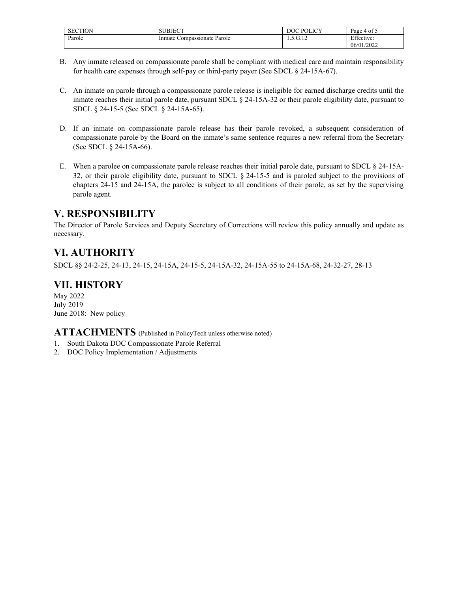| <b>SECTION</b> | BJECT<br>,,,                      | <b>POLICY</b><br>DOC   | $\sim$ $\sim$<br>Page 4 of 5 |
|----------------|-----------------------------------|------------------------|------------------------------|
| Parole         | Parole<br>Compassionate<br>Inmate | $\sim$<br>. <i>. .</i> | Effective:                   |
|                |                                   |                        | 06/01/2022                   |

- B. Any inmate released on compassionate parole shall be compliant with medical care and maintain responsibility for health care expenses through self-pay or third-party payer (See SDCL § 24-15A-67).
- C. An inmate on parole through a compassionate parole release is ineligible for earned discharge credits until the inmate reaches their initial parole date, pursuant SDCL § 24-15A-32 or their parole eligibility date, pursuant to SDCL § 24-15-5 (See SDCL § 24-15A-65).
- D. If an inmate on compassionate parole release has their parole revoked, a subsequent consideration of compassionate parole by the Board on the inmate's same sentence requires a new referral from the Secretary (See SDCL § 24-15A-66).
- E. When a parolee on compassionate parole release reaches their initial parole date, pursuant to SDCL § 24-15A-32, or their parole eligibility date, pursuant to SDCL § 24-15-5 and is paroled subject to the provisions of chapters 24-15 and 24-15A, the parolee is subject to all conditions of their parole, as set by the supervising parole agent.

## **V. RESPONSIBILITY**

The Director of Parole Services and Deputy Secretary of Corrections will review this policy annually and update as necessary.

# **VI. AUTHORITY**

SDCL §§ 24-2-25, 24-13, 24-15, 24-15A, 24-15-5, 24-15A-32, 24-15A-55 to 24-15A-68, 24-32-27, 28-13

# **VII. HISTORY**

May 2022 July 2019 June 2018: New policy

### **ATTACHMENTS** (Published in PolicyTech unless otherwise noted)

- 1. South Dakota DOC Compassionate Parole Referral
- 2. DOC Policy Implementation / Adjustments